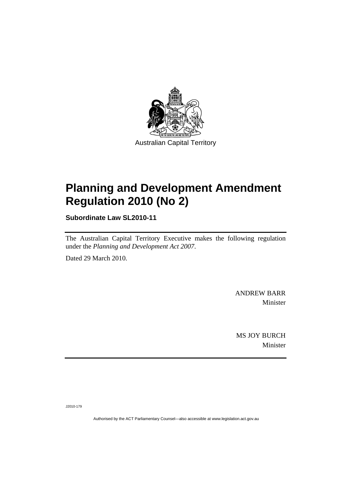

## **[Planning and Development Amendment](#page-2-0)  [Regulation 2010 \(No 2\)](#page-2-0)**

**Subordinate Law SL2010-11** 

The Australian Capital Territory Executive makes the following regulation under the *[Planning and Development Act 2007](#page-2-0)*.

Dated 29 March 2010.

ANDREW BARR Minister

MS JOY BURCH Minister

J2010-179

Authorised by the ACT Parliamentary Counsel—also accessible at www.legislation.act.gov.au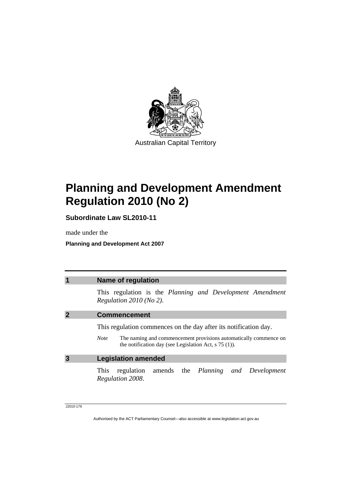<span id="page-2-0"></span>

## **Planning and Development Amendment Regulation 2010 (No 2)**

**Subordinate Law SL2010-11** 

made under the

**Planning and Development Act 2007** 

| 1 | <b>Name of regulation</b>                                                                                                                                                                                      |
|---|----------------------------------------------------------------------------------------------------------------------------------------------------------------------------------------------------------------|
|   | This regulation is the Planning and Development Amendment<br>Regulation $2010$ (No 2).                                                                                                                         |
|   | <b>Commencement</b>                                                                                                                                                                                            |
|   | This regulation commences on the day after its notification day.<br>The naming and commencement provisions automatically commence on<br><b>Note</b><br>the notification day (see Legislation Act, $s$ 75 (1)). |
| 3 | <b>Legislation amended</b>                                                                                                                                                                                     |
|   | regulation amends the Planning and Development<br><b>This</b><br>Regulation 2008.                                                                                                                              |

J2010-179

Authorised by the ACT Parliamentary Counsel—also accessible at www.legislation.act.gov.au